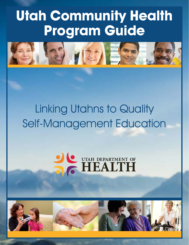# **Utah Community Health Program Guide**



# Linking Utahns to Quality Self-Management Education



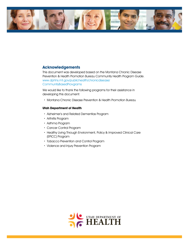

#### **Acknowledgements**

This document was developed based on the Montana Chronic Disease Prevention & Health Promotion Bureau Community Health Program Guide. www.[dphhs.mt.gov/publichealth/chronicdisease/](http://dphhs.mt.gov/publichealth/chronicdisease/CommunityBasedPrograms) [CommunityBasedProvgrams](http://dphhs.mt.gov/publichealth/chronicdisease/CommunityBasedPrograms) 

We would like to thank the following programs for their assistance in developing this document:

· Montana Chronic Disease Prevention & Health Promotion Bureau

#### **Utah Department of Health**

- · Alzheimer's and Related Dementias Program
- · Arthritis Program
- · Asthma Program
- · Cancer Control Program
- · Healthy Living Through Environment, Policy & Improved Clinical Care (EPICC) Program
- · Tobacco Prevention and Control Program
- · Violence and Injury Prevention Program

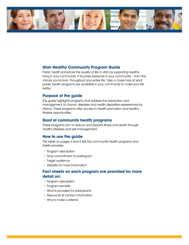

#### **Utah Healthy Community Program Guide**

Public health enhances the quality of life in Utah by supporting healthy living in your community. It touches everyone in your community – from the minute you're born, throughout your entire life. Take a closer look at what public health programs are available in your community to make your life better.

#### **Purpose of the guide**

This guide highlights programs that address the prevention and management of chronic diseases and health disparities experienced by Utahns. These programs offer access to health promotion and healthy lifestyle opportunities.

#### **Goal of community health programs**

These programs aim to reduce and prevent illness and death through healthy lifestyles and self-management.

#### **How to use the guide**

The table on pages 4 and 5 lists the community health programs and briefly provides:

- · Program description
- · Time commitment of participant
- · Target audience
- · Website for more Information

#### **Fact sheets on each program are provided for more detail on:**

- · Program description
- · Program benefits
- · What is provided for participants
- · Resources & contact information
- · Why to make a referral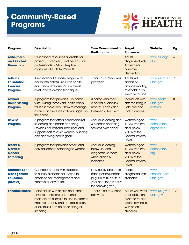# **Community-Based Programs**



| Program                                                                     | <b>Description</b>                                                                                                                                                                                            | <b>Time Commitment of</b><br><b>Participants</b>                                                                            | <b>Target</b><br><b>Audience</b>                                                                        | Website                            | Pg.             |
|-----------------------------------------------------------------------------|---------------------------------------------------------------------------------------------------------------------------------------------------------------------------------------------------------------|-----------------------------------------------------------------------------------------------------------------------------|---------------------------------------------------------------------------------------------------------|------------------------------------|-----------------|
| <b>Alzheimer's</b><br>and Related<br><b>Dementias</b>                       | Educational resources available for<br>patients, caregivers, and health care<br>professionals. 24-hour helpline is<br>available at 1-800-272-3900.                                                            |                                                                                                                             | <b>Adults</b><br>diagnosed with<br>Alzheimer's<br>or related<br>dementias                               | www.alz.org/<br>utah               | $\ddot{\circ}$  |
| <b>Arthritis</b><br><b>Foundation</b><br><b>Exercise</b><br><b>Program</b>  | A recreational exercise program for<br>adults with arthritis. Includes health<br>education, exercise for any fitness<br>level, and relaxation techniques.                                                     | 1 hour class 2-3 times<br>per week                                                                                          | Adults with<br>arthritis or<br>anyone wanting<br>to establish an<br>exercise routine                    | www.livingwell.<br>utah.gov        | 7               |
| <b>Asthma</b><br><b>Home Visiting</b><br><b>Program</b>                     | A program that provides 3 in-home<br>visits. During these visits, participants<br>will learn more about how to manage<br>asthma and reduce asthma triggers in<br>the home.                                    | 3 home visits over<br>a period of about 4<br>months. Each visit is<br>between 60-90 mins.                                   | Individuals with<br>asthma living in<br>Salt Lake and<br><b>Utah Counties.</b>                          | www.health.<br>utah.gov/<br>asthma | 8               |
| <b>BeWise</b><br><b>Program</b>                                             | A program that offers cardiovascular<br>screening and health coaching.<br>Provides educational resources and<br>support tools to assist women in setting<br>and achieving health goals.                       | Annual screening and<br>3-5 health coaching<br>sessions over a year                                                         | Women aged<br>40-64 who live<br>at or below<br>250% of the<br><b>Federal Poverty</b><br>Level           | www.<br>cancerutah.<br>org/bewise/ | 9               |
| <b>Breast &amp;</b><br><b>Cervical</b><br><b>Cancer</b><br><b>Screening</b> | A program that provides breast and<br>cervical cancer screening to women.                                                                                                                                     | Annual screening,<br>follow-up, and<br>diagnostic services<br>when clinically<br>indicated                                  | Women aged<br>40-64 who live<br>at or below<br>250% of the<br><b>Federal Poverty</b><br>Level           | www.<br>cancerutah.<br>org         | 10              |
| <b>Diabetes Self-</b><br><b>Management</b><br><b>Education</b><br>(DSME/T)  | Connects people with diabetes<br>to quality diabetes education to<br>enhance self-management and<br>improve quality of life.                                                                                  | Individually tailored to<br>each person's needs<br>(e.g. up to 10 hours in<br>year one, then 2 hours<br>the following year) | People<br>diagnosed with<br>diabetes                                                                    | WWW.<br>choosehealth.<br>utah.gov  | $\overline{11}$ |
| <b>EnhanceFitness</b>                                                       | Helps adults with arthritis and other<br>chronic conditions adopt and<br>maintain an exercise routine in order to<br>improve mobility and decrease pain.<br>All exercises can be done sitting or<br>standing. | 1 hour class 2-3 times<br>per week                                                                                          | Adults who want<br>to establish an<br>exercise routine,<br>especially those<br>with chronic<br>diseases | www.livingwell. 12<br>utah.gov     |                 |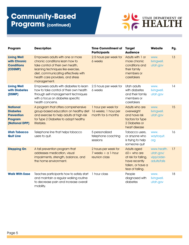# **Community-Based Programs (continued)**



| Program                                                                                     | <b>Description</b>                                                                                                                                                                                                                         | <b>Time Commitment of</b><br><b>Participants</b>                  | <b>Target</b><br><b>Audience</b>                                                                                      | Website                                                 | Pg. |
|---------------------------------------------------------------------------------------------|--------------------------------------------------------------------------------------------------------------------------------------------------------------------------------------------------------------------------------------------|-------------------------------------------------------------------|-----------------------------------------------------------------------------------------------------------------------|---------------------------------------------------------|-----|
| <b>Living Well</b><br>with Chronic<br><b>Conditions</b><br>(CDSMP)                          | Empowers adults with one or more<br>chronic conditions learn how to<br>take control of their own health,<br>learning techniques like exercise,<br>diet, communicating effectively with<br>health care providers, and stress<br>management. | 2.5 hours per week for<br>6 weeks                                 | Adults with 1 or<br>more chronic<br>conditions and<br>their family<br>members or<br>caretakers                        | www.<br>livingwell.<br>utah.gov                         | 13  |
| <b>Living Well</b><br>with Diabetes<br>(DSMP)                                               | Empowers adults with diabetes to learn<br>how to take control of their own health<br>through self-management techniques<br>with a focus on diabetes specific<br>health concerns.                                                           | 2.5 hours per week for<br>6 weeks                                 | Utah adults<br>with diabetes<br>and their family<br>members or<br>caretakers                                          | www.<br>livingwell.<br>utah.gov                         | 14  |
| <b>National</b><br><b>Diabetes</b><br><b>Prevention</b><br><b>Program</b><br>(National DPP) | A program that offers comprehensive<br>group-based education on healthy diet<br>and exercise to help adults at high-risk<br>for Type 2 Diabetes to adopt healthy<br>lifestyles.                                                            | 1 hour per week for<br>16 weeks; 1 hour per<br>month for 6 months | Adults who are<br>overweight<br>and have risk<br>factors for Type<br>2 Diabetes or<br>heart disease                   | www.<br>livingwell.<br>utah.gov                         | 15  |
| <b>Utah Tobacco</b><br><b>Quit Line</b>                                                     | Telephone line that helps tobacco<br>users to quit.                                                                                                                                                                                        | 5 personalized<br>telephone coaching<br>sessions                  | Tobacco users,<br>or anyone who<br>is trying to help<br>someone quit                                                  | www.<br>waytoquit.<br>org                               | 16  |
| <b>Stepping On</b>                                                                          | A fall prevention program that<br>addresses medication, visual<br>impairments, strength, balance, and<br>the home environment.                                                                                                             | 2 hours per week for<br>$7$ weeks $+$ a 1-hour<br>reunion class   | <b>Adults aged</b><br>$60+$ who are<br>at risk for falling,<br>have recently<br>fallen, or have a<br>fear of falling. | www.health.<br>utah.gov/<br>vipp/older-<br>adults/falls | 17  |
| <b>Walk With Ease</b>                                                                       | Teaches participants how to safely start<br>and maintain a regular walking routine<br>to decrease pain and increase overall<br>mobility.                                                                                                   | 1 hour class                                                      | People<br>diagnosed with<br>diabetes                                                                                  | WWW.<br>livingwell.<br>utah.gov                         | 18  |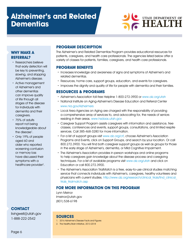# **Alzheimer's and Related Dementias**



#### **WHY MAKE A REFERRAL?**

- · Researchers believe that early detection will be key to preventing, slowing, and stopping Alzheimer's disease.
- · Active management of Alzheimer's and other dementias can improve quality of life through all stages of the disease for individuals with dementia and their caregivers.
- · 75% of adults report not being knowledgeable about the disease<sup>1</sup>.
- · Only 19% of people aged 60 and older who reported worsening confusion or memory loss have discussed their symptoms with a healthcare provider<sup>2</sup>.

**CONTACT**

[livingwell@utah.gov](mailto:livingwell@utah.gov) 1-888-222-2542

### **PROGRAM DESCRIPTION**

The Alzheimer's and Related Dementias Program provides educational resources for patients, caregivers, and health care professionals. The agencies listed below offer a variety of classes for patients, families, caregivers, and health care professionals.

#### **PROGRAM BENEFITS**

- · Increases knowledge and awareness of signs and symptoms of Alzheimer's and related dementias.
- · Resources, home care, support groups, education, and events for caregivers.
- · Improves the dignity and quality of life for people with dementia and their families.

#### **RESOURCES & PROGRAMS**

- · Alzheimer's Association toll-free Helpline 1-800-272-3900 or [www.alz.org/utah](http://www.alz.org/utah)
- · National Institute on Aging-Alzheimer's Disease Education and Referral Center [www.nia.gov/Alzheimers](http://www.nia.gov/Alzheimers)
- · Local Area Agencies on Aging are charged with the responsibility of providing a comprehensive array of services to, and advocating for, the needs of seniors residing in their areas. [www.hsdaas.utah.gov](http://www.hsdaas.utah.gov)
- · Caregiver Support Program assists caregivers with information and assistance, free classes, conferences and events, support groups, consultations, and limited respite services. Call 385-468-3280 for more information.
- · For a list of support groups visit [www.alz.org/crf,](http://www.alz.org/crf) choose Alzheimer's Association Programs and Events, click on Support Groups, and search by your location. Or call 800.272.3900. You will find both caregiver support groups as well as groups for those in the early stage of Alzheimer's, dementia, or Mild Cognitive Impairment.
- · The Alzheimer's Association provides in-person workshops and online programs to help caregivers gain knowledge about the disease process and caregiving techniques. For a list of available programs visit [www.alz.org/utah](http://www.alz.org/utah) and click on Education or call 800.272.3900.
- · The Alzheimer's Association TrialMatch is a free, easy-to-use clinical studies matching service that connects individuals with Alzheimer's, caregivers, healthy volunteers and physicians with current studies. http://www.alz.org/research/clinical\_trials/find\_clinical [trials\\_trialmatch.asp](http://www.alz.org/research/clinical_trials/find_clinical_trials_trialmatch.asp)

# **FOR MORE INFORMATION ON THIS PROGRAM**

Lynn Meinor [lmeinor@utah.gov](mailto:lmeinor@utah.gov) (801) 538-6198

- 1. 2016 Alzheimer's Disease Facts and Figures
- 2. The Healthy Brain Initiative, 2013-2018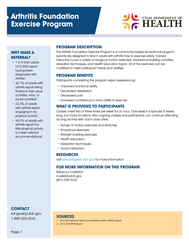# **Arthritis Foundation Exercise Program**



#### **WHY MAKE A REFERRAL?**

- · 1 in 5 Utah adults (410,000) report having been diagnosed with Arthritis<sup>1</sup>.
- · 46.7% of adults with arthritis report being limited in their usual activities, work, or social activities<sup>1</sup>.
- · 23.3% of adults with arthritis report engaging in no physical activity<sup>1</sup>.
- · 48.5% of adults with arthritis report too little physical activity to meet national recommendations<sup>2</sup>.

#### **PROGRAM DESCRIPTION**

The Arthritis Foundation Exercise Program is a community-based recreational program specifically designed to teach adults with arthritis how to exercise safely. Trained instructors cover a variety of range-of-motion exercises, endurance-building activities, relaxation techniques, and health education topics. All of the exercises can be modified to meet participant needs and abilities.

#### **PROGRAM BENEFITS**

Participants completing the program report experiencing:

- · Improved functional ability
- · Decreased depression
- · Decreased pain
- · Increased confidence in one's ability to exercise

#### **WHAT IS PROVIDED TO PARTICIPANTS**

Classes meet two or three times per week for an hour. One session is typically 8 weeks long, but many locations offer ongoing classes and participants can continue attending as long as they wish. Each class offers:

- · Range of motion exercises and stretches
- · Endurance exercises
- · Strength building exercises
- · Health education
- · Relaxation techniques
- · Social interaction

#### **RESOURCES**

Visit [www.livingwell.utah.gov](http://www.livingwell.utah.gov) for more information

# **FOR MORE INFORMATION ON THIS PROGRAM**

Rebecca Castleton [rcastlet@utah.gov](mailto:rcastlet@utah.gov) (801) 538-9340

#### **CONTACT**

[livingwell@utah.gov](mailto:livingwell@utah.gov) 1-888-222-2542

- 1. 2014 Utah Behavior Risk Factor Survillance System (BRFSS) Report
- 2. 2013 Utah BRFSS Report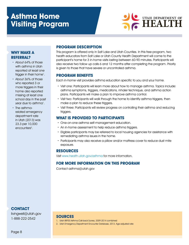# **Asthma Home Visiting Program**



#### **WHY MAKE A REFERRAL?**

- · About 64% of those with asthma in Utah reported at least one trigger in their home<sup>1</sup>.
- · About 36% of those who reported 3 or more triggers in their home also reported missing at least one school day in the past year due to asthma<sup>1</sup>.
- · The asthmarelated emergency department rate in Utah (2013) was 23.3 per 10,000 encounters<sup>2</sup>.

#### **PROGRAM DESCRIPTION**

This program is offered only in Salt Lake and Utah Counties. In this free program, two health educators from Salt Lake or Utah County Health Department will come to the participant's home for 3 in-home visits lasting between 60-90 minutes. Participants will also receive two follow up calls 6 and 12 months after completing the program. Priority is given to those that have severe or uncontrolled asthma.

# **PROGRAM BENEFITS**

Each in-home visit provides asthma education specific to you and your home.

- · Visit one: Participants will learn more about how to manage asthma. Topics include: asthma symptoms, triggers, medications, inhaler technique, and asthma action plans. Participants will make a plan to improve asthma control.
- · Visit two: Participants will walk through the home to identify asthma triggers, then make a plan to reduce these triggers.
- · Visit three: Participants will review progress on controlling their asthma and reducing triggers.

#### **WHAT IS PROVIDED TO PARTICIPANTS**

- · One-on-one asthma self-management education.
- · An in-home assessment to help reduce asthma triggers.
- · Eligible participants may be referred to local housing agencies for assistance with remediating asthma issues in the home.
- · Participants may also receive a pillow and/or mattress cover to reduce dust mite exposure.

# **RESOURCES**

Visit [www.health.utah.gov/asthma](http://www.health.utah.gov/asthma) for more information.

# **FOR MORE INFORMATION ON THIS PROGRAM**

Contact asthma@utah.gov

#### **CONTACT**

[livingwell@utah.gov](mailto:livingwell@utah.gov) 1-888-222-2542

- 1. Utah BRFSS Asthma Call-back Survey, 2009-2014 combined
- 2. Utah Emergency Department Encounter Database, 2013. Age-adjusted rate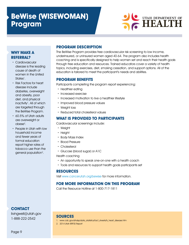# **BeWise (WISEWOMAN) Program**



#### **WHY MAKE A REFERRAL?**

- · Cardiovascular disease is the leading cause of death of women in the United States<sup>1</sup>.
- · Risk Factors for heart disease include diabetes, overweight and obesity, poor diet, and physical inactivity<sup>1</sup>. All of which are targeted through the BeWise Program.
- · 60.5% of Utah adults are overweight or  $obese<sup>2</sup>$ .
- · People in Utah with low household income and fewer years of formal education report higher rates of tobacco use than the general population<sup>2</sup>.

# **PROGRAM DESCRIPTION**

The BeWise Program provides free cardiovascular risk screening to low income, underinsured, or uninsured women aged 40-64. The program also includes health coaching and is specifically designed to help women set and reach their health goals through free education and resources. Trained educators cover a variety of health topics, including exercises, diet, smoking cessation, and support options. All of the education is tailored to meet the participant's needs and abilities.

# **PROGRAM BENEFITS**

Participants completing the program report experiencing:

- · Healthier eating
- · Increased exercise
- · Increased motivation to live a healthier lifestyle
- · Improved blood pressure values
- · Weight loss
- · Reduced total cholesterol values

# **WHAT IS PROVIDED TO PARTICIPANTS**

Cardiovascular screenings include:

- · Weight
- · Height
- · Body Mass Index
- · Blood Pressure
- · Cholesterol
- · Glucose (blood sugar) or A1C

Health coaching

- · An opportunity to speak one-on-one with a health coach
- · Tools and resources to support health goals participants set

# **RESOURCES**

Visit [www.cancerutah.org/bewise](http://www.cancerutah.org/bewise) for more information.

# **FOR MORE INFORMATION ON THIS PROGRAM**

Call the Resource Hotline at 1-800-717-1811

# **CONTACT**

[livingwell@utah.gov](mailto:livingwell@utah.gov) 1-888-222-2542

- 1. [www.cdc.gov/dhdsp/data\\_statistics/fact\\_sheets/fs\\_heart\\_disease.htm](http://www.cdc.gov/dhdsp/data_statistics/fact_sheets/fs_heart_disease.htm)
- 2. 2014 Utah BRFSS Report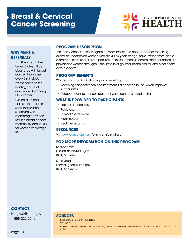# **Breast & Cervical Cancer Screening**



#### **WHY MAKE A REFERRAL?**

- · 1 in 8 women in the United States will be diagnosed with breast cancer; that's one every 2 minutes<sup>1</sup>.
- · Breast cancer is the leading cause of cancer death among Utah women<sup>2</sup>.
- · Clinical trials and observational studies show that routine screening with mammography can reduce breast cancer mortality by about 20% for women of average  $risk^3$ .

#### **PROGRAM DESCRIPTION**

The Utah Cancer Control Program provides breast and cervical cancer screening exams to underserved women who are 40-64 years of age, have low incomes, or are a member of an underserved population. These cancer screenings and education are provided to women throughout the state through local health districts and other health care providers.

# **PROGRAM BENEFITS**

Women participating in this program benefit by:

- · Receiving early detection and treatment if a cancer is found, which improves survival rates
- · Reduced costs for cancer treatment when cancer is found earlier

#### **WHAT IS PROVIDED TO PARTICIPANTS**

- · Pap test (if necessary)
- · Pelvic exam
- · Clinical breast exam
- · Mammogram
- · Health education

#### **RESOURCES**

Visit [www.cancerutah.org](http://www.cancerutah.org) for more information.

#### **FOR MORE INFORMATION ON THIS PROGRAM**

Shellee Smith [shelleesmith@utah.gov](mailto:shelleesmith@utah.gov) (801) 538-6491

Sheri Vaughan [sherivaughan@utah.gov](mailto:sherivaughan%40utah.gov?subject=) (801) 538-6204

#### **CONTACT**

[livingwell@utah.gov](mailto:livingwell@utah.gov) 1-888-222-2542

- 1. Breast Cancer Research Foundation
- 2. 2012 IBIS Data
- 3. Benefits and Harms of Breast Cancer Screening. Journal of the American Medical Association October 20, 2015, Vol 314, No.15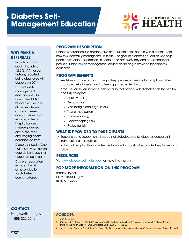# **Diabetes Self-Management Education**



#### **WHY MAKE A REFERRAL?**

· In Utah, 7.1% of adults, including 12.0% of American Indians, reported being diagnosed with diabetes in 2014<sup>1</sup>.

· Diabetes selfmanagement education results in improved A1C, blood pressure, and cholesterol levels as well as fewer complications and reduced rates of hospitalizations<sup>2</sup>.

- · Diabetes can be one of the most challenging health conditions to treat.
- · Diabetes is costly. One out of every five health care dollars is spent on diabetes health care $3$ .
- · Diabetes education reduces the risk of hospitalization for diabetes complications<sup>2</sup>.

**CONTACT**

[livingwell@utah.gov](mailto:livingwell@utah.gov) 1-888-222-2542

# **PROGRAM DESCRIPTION**

Diabetes education is a collaborative process that helps people with diabetes learn how to successfully manage their disease. The goal of diabetes education is to help people with diabetes practice self-care behaviors every day and be as healthy as possible. Diabetes self-management education/training is provided by diabetes educators.

#### **PROGRAM BENEFITS**

- · Real-life guidance and coaching to help people understand exactly how to best manage their diabetes, and to feel supported while doing it.
- · It focuses on seven self-care behaviors so that people with diabetes can be healthy and fully enjoy life:
	- » Healthy eating
	- » Being active
	- » Monitoring blood sugar levels
	- » Taking medication
	- » Problem solving
	- » Healthy coping skills
	- » Reducing risks

#### **WHAT IS PROVIDED TO PARTICIPANTS**

- · Education and support on all aspects of diabetes care by diabetes educators in individual or group settings.
- · Individualized plan that includes the tools and support to help make the plan easy to follow.

# **RESOURCES**

Visit [www.choosehealth.utah.gov](http://www.choosehealth.utah.gov) for more information.

#### **FOR MORE INFORMATION ON THIS PROGRAM**

Brittany Snyder bsnyder[@utah.gov](mailto:bsnyder%40utah.gov?subject=) (801) 538-6294

- 1. Utah BRFSS 2014
- 2. Robbins JM, Thatcher GE, Webb DA, Valdmanis VG. Nutritionist visits, diabetes classes, and hospitalization rates and charges: the Urban Diabetes Study. Diabetes Care. 2008;31(4):655-60
- 3. The American Diabetes Association. The Cost of Diabetes. www.diabetes.org/advocacy/news-events/cost-of-diabetes.html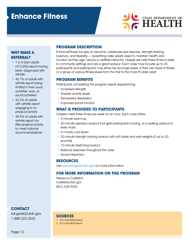# **Enhance Fitness**



#### **WHY MAKE A REFERRAL?**

- · 1 in 5 Utah adults (410,000) report having been diagnosed with Arthritis<sup>1</sup>.
- · 46.7% of adults with arthritis report being limited in their usual activities, work, or social activities<sup>1</sup>.
- · 23.3% of adults with arthritis report engaging in no physical activity<sup>1</sup>.
- · 48.5% of adults with arthritis report too little physical activity to meet national recommendations<sup>2</sup>.

#### **PROGRAM DESCRIPTION**

EnhanceFitness focuses on dynamic cardiovascular exercise, strength training, balance, and flexibility — everything older adults need to maintain health and function as they age. Led by a certified instructor, classes are held three times a week in community settings and are a great workout. Each class may include up to 25 participants and participants may either be amongst peers of their own level of fitness or a group of various fitness levels from the frail to the more fit older adult.

#### **PROGRAM BENEFITS**

Participants completing the program report experiencing:

- · Increased strength
- · Greater activity levels
- · Decreased depression
- · Improved social function

#### **WHAT IS PROVIDED TO PARTICIPANTS**

Classes meet three times per week for an hour. Each class offers:

- · 5-minute warm-up
- · 20-minute aerobics workout that gets participants moving, or a walking workout to lively music
- · 5-minute cool-down
- · 20-minute strength training workout with soft ankle and wrist weights (0 up to 20 pounds)
- · 10-minute stretching workout
- · Balance exercises throughout the class
- · Social interaction

#### **RESOURCES**

Visit [www.livingwell.utah.gov](http://www.livingwell.utah.gov) for more information.

#### **FOR MORE INFORMATION ON THIS PROGRAM**

Rebecca Castleton [rcastlet@utah.gov](mailto:rcastlet@utah.gov) (801) 538-9340

**SOURCES** 1. 2014 Utah BRFSS Report 2. 2013 Utah BRFSS Report

**CONTACT**

[livingwell@utah.gov](mailto:livingwell@utah.gov) 1-888-222-2542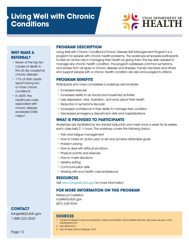

#### **WHY MAKE A REFERRAL?**

- · Seven of the top ten causes of death in the US are caused by chronic disease<sup>1</sup>.
- · 17% of Utah adults report having two or more chronic conditions<sup>2</sup>.
- · In 2009, the healthcare costs associated with chronic disease exceeded \$586  $m$ illion $3$ .

# **PROGRAM DESCRIPTION**

Living Well with Chronic Conditions (Chronic Disease Self-Management Program) is a program for people with chronic health problems. The workshops empowers participants to take an active role in managing their health by giving them the key skills needed to manage any chronic health condition. The program addresses common symptoms and worries from all types of chronic disease and illnesses. Family members and others who support people with a chronic health condition are also encouraged to attend.

#### **PROGRAM BENEFITS**

Participants who have completed a workshop demonstrate:

- · Increased exercise
- · Increased ability to do social and household activities
- · Less depression, fear, frustration, and worry about their health
- · Reduction in symptoms like pain
- · Increased confidence in their ability to manage their condition
- · Decreased emergency department visits and hospitalizations

#### **WHAT IS PROVIDED TO PARTICIPANTS**

Workshops are facilitated by two trained instructors and meet once a week for six weeks; each class lasts 2 ½ hours. The workshop covers the following topics:

- · Pain and fatigue management
- · How to make an action plan to set and achieve attainable goals
- · Problem solving
- · How to deal with difficult emotions
- · Physical activity and exercise
- · How to make decisions
- Healthy eating
- · Communication skills
- · Working with your health care professional

#### **RESOURCES**

Visit [www.livingwell.utah.gov](http://www.livingwell.utah.gov) for more information.

#### **FOR MORE INFORMATION ON THIS PROGRAM**

Rebecca Castleton [rcastlet@utah.gov](mailto:rcastlet@utah.gov) (801) 538-9340

#### **SOURCES**

- 1. Centers for Disease Control and Prevention. Death and Mortality. NCHS FastStats Web site. http://www.cdc.gov/ nchs/ fastats/deaths.htm
- 2. Utah BRFSS 2014
- 3. Utah All Payer Claims Database, 2010

#### **CONTACT** [livingwell@utah.gov](mailto:livingwell@utah.gov)

1-888-222-2542

Page 13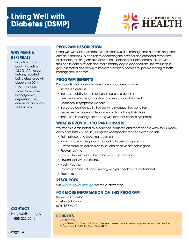# **Living Well with Diabetes (DSMP)**



#### **WHY MAKE A REFERRAL?**

- · In Utah, 7.1% of adults, including 12.0% of American Indians, reported being diagnosed with diabetes in 2014<sup>1</sup>.
- · DSMP has been shown to improve hypoglycemia, depression, diet, communication, and self efficacy<sup>2</sup>.

#### **PROGRAM DESCRIPTION**

Living Well with Diabetes teaches participants skills to manage their diabetes and other chronic conditions. In addition to addressing the physical and emotional symptoms of diabetes, this program also aims to help participants better communicate with their health care providers and make healthy day-to-day decisions. The workshop is goal-orientated and shown to improved health outcomes for people looking to better manage their diabetes.

#### **PROGRAM BENEFITS**

Participants who have completed a workshop demonstrate:

- · Increased exercise
- · Increased ability to do social and household activities
- · Less depression, fear, frustration, and worry about their health
- · Reduction in symptoms like pain
- · Increased confidence in their ability to manage their condition
- · Decreased emergency department visits and hospitalizations
- · Increased knowledge for dealing with diabetes specific symptoms

### **WHAT IS PROVIDED TO PARTICIPANTS**

Workshops are facilitated by two trained instructors and meet once a week for six weeks; each class lasts 2 ½ hours. During the workshop the topics covered include:

- · Pain, fatigue, and stress management
- · Monitoring blood sugar and managing hyper/hypoglycemia
- · How to make an action plan to set and achieve attainable goals
- · Problem solving
- · How to deal with difficult emotions and complications
- · Physical activity and exercise
- · Healthy eating
- · Communication skills and working with your health care professional
- · Foot care

#### **RESOURCES**

Visit [www.livingwell.utah.gov](http://www.livingwell.utah.gov) for more information.

#### **FOR MORE INFORMATION ON THIS PROGRAM**

Rebecca Castleton [rcastlet@utah.gov](mailto:rcastlet@utah.gov) (801) 538-9340

# **SOURCES**

1. Utah BRFSS 2014

2. Lorig K, Ritter PL, Villa FJ, Armas J. Community-based peer-led diabetes self-management: A randomized trial. The Diabetes Educator 2009 July-August;35(4):641-51

# **CONTACT**

[livingwell@utah.gov](mailto:livingwell@utah.gov) 1-888-222-2542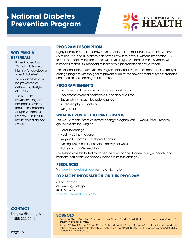# **National Diabetes Prevention Program**



#### **WHY MAKE A REFERRAL?**

- · It is estimated that 35% of adults are at high risk for developing type 2 diabetes<sup>1</sup>.
- · Type 2 diabetes can be prevented or delayed by lifestyle changes.
- · The Diabetes Prevention Program has been shown to reduce the incidence of type 2 diabetes by 58%, and this risk reduction is sustained over time2 .

### **PROGRAM DESCRIPTION**

Eighty-six million Americans now have prediabetes—that's 1 out of 3 adults! Of those 86 million, 9 out of 10 of them don't even know they have it. Without intervention, 15% to 30% of people with prediabetes will develop type 2 diabetes within 5 years<sup>1</sup>. With numbers like that, it's important to learn about prediabetes and take action.

The National Diabetes Prevention Program (National DPP) is an evidence-based lifestyle change program with the goal to prevent or delay the development of type 2 diabetes and heart disease among at-risk Utahns.

#### **PROGRAM BENEFITS**

- · Empowerment through education and application
- · Movement toward a healthier self, one step at a time
- · Sustainability through behavior change
- · Increased physical activity
- · Weight loss

#### **WHAT IS PROVIDED TO PARTICIPANTS**

This is a 12-month intensive lifestyle change program with 16 weekly and 6 monthly group sessions focusing on:

- · Behavior change
- · Healthy eating strategies
- · Ways to become more physically active
- · Getting 150 minutes of physical activity per week
- · Achieving a 5-7% weight loss

The sessions are facilitated by trained lifestyle coaches that encourage, coach, and motivate participants to adopt sustainable lifestyle changes.

#### **RESOURCES**

**SOURCES**

Visit [www.livingwell.utah.gov](http://www.livingwell.utah.gov) for more information.

#### **FOR MORE INFORMATION ON THIS PROGRAM**

Celsa Bowman [cbowman@utah.gov](mailto:cbowman@utah.gov) (801) 538-6273 [www.choosehealth.utah.gov](http://www.choosehealth.utah.gov)

prevention/prediabetes-type2/

#### **CONTACT**

[livingwell@utah.gov](mailto:livingwell@utah.gov) 1-888-222-2542

1. Centers for Disease Control and Prevention. National Diabetes Statistics Report, 2014. www.cdc.gov/diabetes/

2. Knowler WC, Barrett-Conner E, Fowler SE, et al.; Diabetes Prevention Program Research Group. Reduction in the incidence of type 2 diabetes with lifestyle intervention or metformin. N Engl J Med 2002;346:393–403. www.nejm.org/doi/full/10.1056/ NEJMoa012512#t=articleTop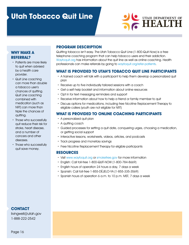# **Utah Tobacco Quit Line**



### **WHY MAKE A REFERRAL?**

- · Patients are more likely to quit when advised by a health care provider.
- · Quit Line coaching can more than double a tobacco user's chances of quitting. Quit Line coaching combined with medication (such as NRT) can more than triple the chances of quitting.
- · Those who successfully quit reduce their risk for stroke, heart disease, and a number of cancers and other diseases.
- · Those who successfully quit save money.

# **PROGRAM DESCRIPTION**

Quitting tobacco isn't easy. The Utah Tobacco Quit Line (1-800-Quit-Now) is a free telephone coaching program that can help tobacco users end their addiction. [Waytoquit.org](http://www.waytoquit.org) has information about the quit line as well as online coaching. Health professionals can make referrals by going to [waytoquit.org/refer-patients.](http://waytoquit.org/refer-patients/)

# **WHAT IS PROVIDED TO UTAH'S TOBACCO QUIT LINE PARTICIPANTS**

- · A trained coach will talk with a participant to help them develop a personalized quit plan
- · Receive up to five individually tailored sessions with a coach
- · Get a self-help booklet and information about online resources
- · Opt in for text messaging reminders and support
- · Receive information about how to help a friend or family member to quit
- · Discuss options for medications, including free Nicotine Replacement Therapy to eligible callers (youth are not eligible for NRT)

# **WHAT IS PROVIDED TO ONLINE COACHING PARTICIPANTS**

- · A personalized quit plan
- A quitting coach
- · Guided processes for setting a quit date, conquering urges, choosing a medication, or getting social support
- · Interactive lessons, worksheets, videos, articles, and podcasts
- · Track progress and monetary savings
- · Free Nicotine Replacement Therapy for eligible participants

#### **RESOURCES**

- · Visit [www.waytoquit.org](http://www.waytoquit.org) or [smokefree.gov](http://www.smokefree.gov) for more information
- · English: Call toll-free 1-800-QUIT-NOW (1-800-784-8669)
- · English hours of operation 24 hours a day, 7 days a week
- · Spanish: Call toll-free 1-855-DÉJELO-YA (1-855-335-3569)
- · Spanish hours of operation 6 a.m. to 10 p.m. MST, 7 days a week

#### **CONTACT**

[livingwell@utah.gov](mailto:livingwell@utah.gov) 1-888-222-2542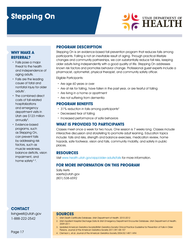# **Stepping On**



#### **WHY MAKE A REFERRAL?**

- · Falls pose a major threat to the health and independence of aging adults.
- · Falls are the leading cause of fatal and nonfatal injury for older adults<sup>1</sup>.
- · The combined direct costs of fall-related hospitalizations and emergency department visits in Utah are \$123 million annually<sup>2</sup>.
- · Evidence-based programs, such as Stepping On, can prevent falls by addressing risk factors, such as muscle weakness, balance deficits, vision impairment, and home safety<sup>3, 4</sup>.

**CONTACT**

[livingwell@utah.gov](mailto:livingwell@utah.gov) 1-888-222-2542

Page 17

# **PROGRAM DESCRIPTION**

Stepping On is an evidence-based fall prevention program that reduces falls among participants. Falling is not an inevitable result of aging. Through practical lifestyle changes and community partnerships, we can substantially reduce fall risks, keeping older adults living independently with a good quality of life. Stepping On addresses known risk factors and promotes behavior change. Professional guest experts include a pharmacist, optometrist, physical therapist, and community safety officer.

Eligible Participants:

- · Are age 60 years or over
- · Are at risk for falling, have fallen in the past year, or are fearful of falling
- · Are living in a home or apartment
- · Are not suffering from dementia

#### **PROGRAM BENEFITS**

- 31% reduction in falls among participants<sup>4</sup>
- · Decreased fear of falling
- · Increased performance of safe behaviors

#### **WHAT IS PROVIDED TO PARTICIPANTS**

Classes meet once a week for two hours. One session is 7 weeks long. Classes include interactive discussion and storytelling to promote adult learning. Education topics include: falls and risks, strength and balance exercises, medication review, home hazards, safe footwear, vision and falls, community mobility, and safety in public places.

#### **RESOURCES**

Visit [www.health.utah.gov/vipp/older](http://www.health.utah.gov/vipp/older-adults/falls)-adults/falls for more information.

# **FOR MORE INFORMATION ON THIS PROGRAM**

Sally Aerts [saerts@utah.gov](mailto:saerts@utah.gov) (801) 538-6592

- 1. Utah Death Certificate Database. Utah Department of Health: 2010-2012
- 2. Utah Inpatient Hospital Discharge Data & Utah Emergency Department Encounter Database. Utah Department of Health; 2009-2011
- 3. Updated American Geriatrics Society/British Geriatrics Society Clinical Practice Guideline for Prevention of Falls in Older Persons. Journal of the American Geriatrics Society 2011;59:148-157
- 4. Clemson L, et.al. Journal of the American Geriatrics Society 2004;52:1487-1494